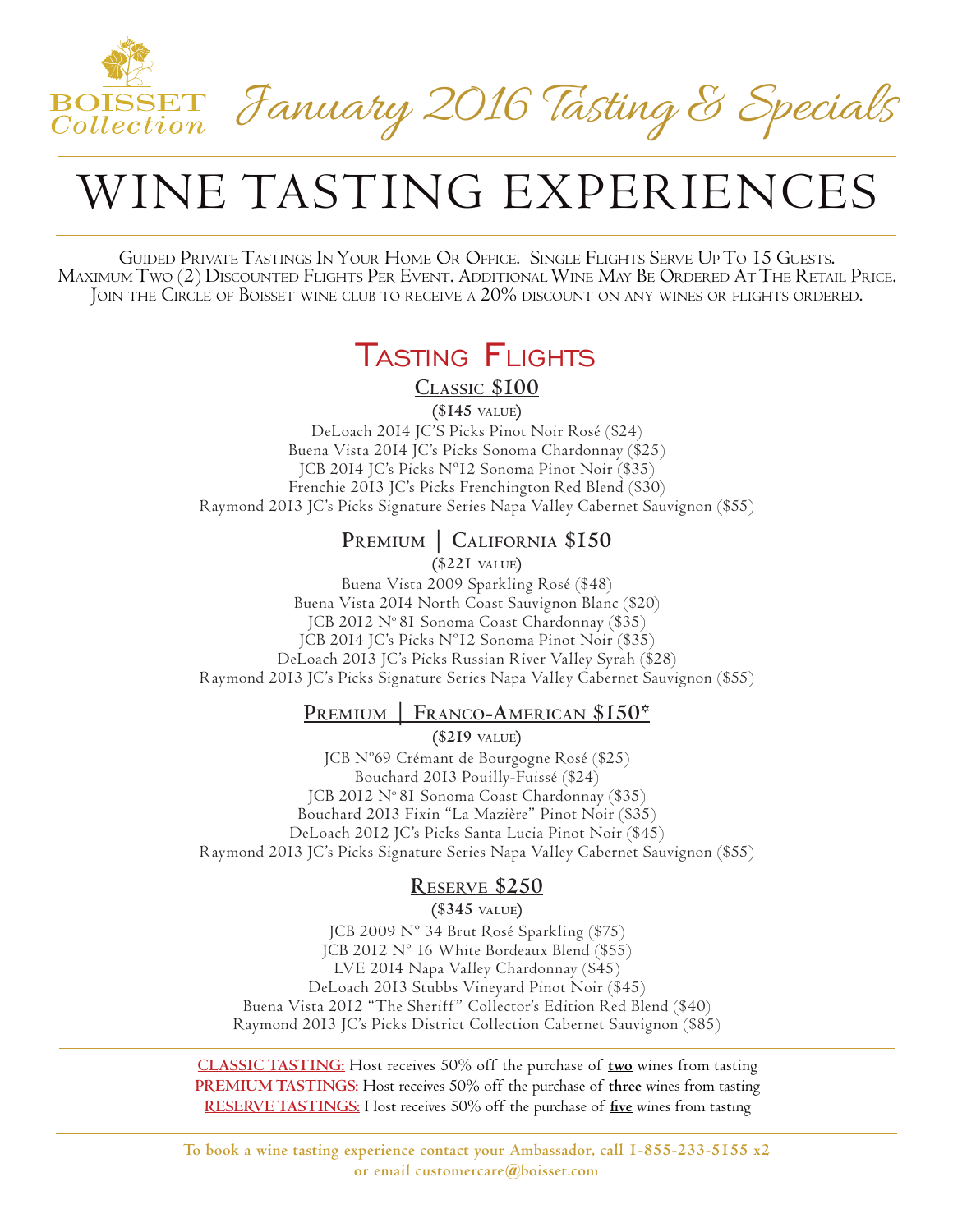

# WINE TASTING EXPERIENCES

GUIDED PRIVATE TASTINGS IN YOUR HOME OR OFFICE. SINGLE FLIGHTS SERVE UP TO 15 GUESTS.<br>MAXIMUM TWO (2) DISCOUNTED FLIGHTS PER EVENT. ADDITIONAL WINE MAY BE ORDERED AT THE RETAIL PRICE.<br>JOIN THE CIRCLE OF BOISSET WINE CLUB T

## Tasting Flights

**Classic \$100**

**(\$145 value)**

DeLoach 2014 JC'S Picks Pinot Noir Rosé (\$24) Buena Vista 2014 JC's Picks Sonoma Chardonnay (\$25) JCB 2014 JC's Picks Nº12 Sonoma Pinot Noir (\$35) Frenchie 2013 JC's Picks Frenchington Red Blend (\$30) Raymond 2013 JC's Picks Signature Series Napa Valley Cabernet Sauvignon (\$55)

#### **PREMIUM | CALIFORNIA \$150**

**(\$221 value)**

Buena Vista 2009 Sparkling Rosé (\$48) Buena Vista 2014 North Coast Sauvignon Blanc (\$20) JCB 2012 Nº 81 Sonoma Coast Chardonnay (\$35) JCB 2014 JC's Picks Nº12 Sonoma Pinot Noir (\$35) DeLoach 2013 JC's Picks Russian River Valley Syrah (\$28) Raymond 2013 JC's Picks Signature Series Napa Valley Cabernet Sauvignon (\$55)

#### **Premium | Franco-American \$150\***

**(\$219 value)** JCB Nº69 Crémant de Bourgogne Rosé (\$25) Bouchard 2013 Pouilly-Fuissé (\$24) JCB 2012 Nº 81 Sonoma Coast Chardonnay (\$35) Bouchard 2013 Fixin "La Mazière" Pinot Noir (\$35) DeLoach 2012 JC's Picks Santa Lucia Pinot Noir (\$45) Raymond 2013 JC's Picks Signature Series Napa Valley Cabernet Sauvignon (\$55)

#### **Reserve \$250**

**(\$345 value)**

JCB 2009 Nº 34 Brut Rosé Sparkling (\$75) JCB 2012 Nº 16 White Bordeaux Blend (\$55) LVE 2014 Napa Valley Chardonnay (\$45) DeLoach 2013 Stubbs Vineyard Pinot Noir (\$45) Buena Vista 2012 "The Sheriff" Collector's Edition Red Blend (\$40) Raymond 2013 JC's Picks District Collection Cabernet Sauvignon (\$85)

**CLASSIC TASTING:** Host receives 50% off the purchase of **two** wines from tasting **PREMIUM TASTINGS:** Host receives 50% off the purchase of **three** wines from tasting **RESERVE TASTINGS:** Host receives 50% off the purchase of **five** wines from tasting